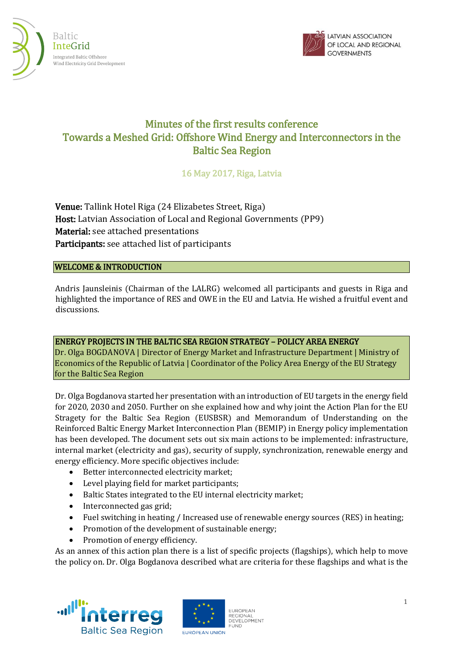



# Minutes of the first results conference Towards a Meshed Grid: Offshore Wind Energy and Interconnectors in the Baltic Sea Region

16 May 2017, Riga, Latvia

Venue: Tallink Hotel Riga (24 Elizabetes Street, Riga) Host: Latvian Association of Local and Regional Governments (PP9) Material: see attached presentations Participants: see attached list of participants

## WELCOME & INTRODUCTION

Andris Jaunsleinis (Chairman of the LALRG) welcomed all participants and guests in Riga and highlighted the importance of RES and OWE in the EU and Latvia. He wished a fruitful event and discussions.

ENERGY PROJECTS IN THE BALTIC SEA REGION STRATEGY – POLICY AREA ENERGY

Dr. Olga BOGDANOVA | Director of Energy Market and Infrastructure Department | Ministry of Economics of the Republic of Latvia | Coordinator of the Policy Area Energy of the EU Strategy for the Baltic Sea Region

Dr. Olga Bogdanova started her presentation with an introduction of EU targets in the energy field for 2020, 2030 and 2050. Further on she explained how and why joint the Action Plan for the EU Stragety for the Baltic Sea Region (EUSBSR) and Memorandum of Understanding on the Reinforced Baltic Energy Market Interconnection Plan (BEMIP) in Energy policy implementation has been developed. The document sets out six main actions to be implemented: infrastructure, internal market (electricity and gas), security of supply, synchronization, renewable energy and energy efficiency. More specific objectives include:

- Better interconnected electricity market;
- Level playing field for market participants;
- Baltic States integrated to the EU internal electricity market;
- Interconnected gas grid;
- Fuel switching in heating / Increased use of renewable energy sources (RES) in heating;
- Promotion of the development of sustainable energy;
- Promotion of energy efficiency.

As an annex of this action plan there is a list of specific projects (flagships), which help to move the policy on. Dr. Olga Bogdanova described what are criteria for these flagships and what is the





**EUROPEAN** REGIONAL<br>DEVELOPMENT **FUND**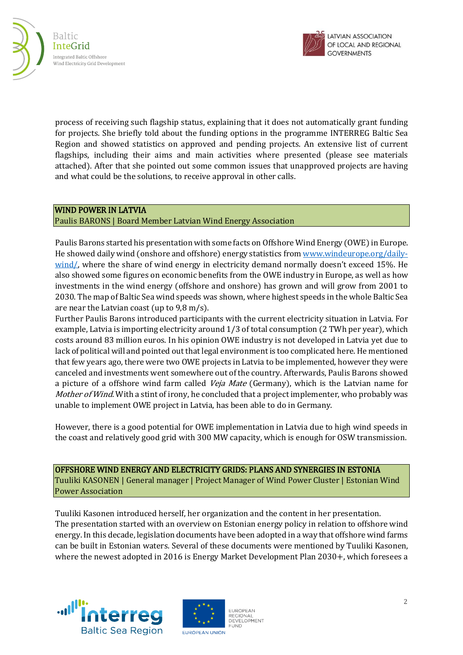



process of receiving such flagship status, explaining that it does not automatically grant funding for projects. She briefly told about the funding options in the programme INTERREG Baltic Sea Region and showed statistics on approved and pending projects. An extensive list of current flagships, including their aims and main activities where presented (please see materials attached). After that she pointed out some common issues that unapproved projects are having and what could be the solutions, to receive approval in other calls.

# WIND POWER IN LATVIA

## Paulis BARONS | Board Member Latvian Wind Energy Association

Paulis Barons started his presentation with some facts on Offshore Wind Energy (OWE) in Europe. He showed daily wind (onshore and offshore) energy statistics fro[m www.windeurope.org/daily](http://www.windeurope.org/daily-wind/)[wind/,](http://www.windeurope.org/daily-wind/) where the share of wind energy in electricity demand normally doesn't exceed 15%. He also showed some figures on economic benefits from the OWE industry in Europe, as well as how investments in the wind energy (offshore and onshore) has grown and will grow from 2001 to 2030. The map of Baltic Sea wind speeds was shown, where highest speeds in the whole Baltic Sea are near the Latvian coast (up to 9,8 m/s).

Further Paulis Barons introduced participants with the current electricity situation in Latvia. For example, Latvia is importing electricity around 1/3 of total consumption (2 TWh per year), which costs around 83 million euros. In his opinion OWE industry is not developed in Latvia yet due to lack of political will and pointed out that legal environment is too complicated here. He mentioned that few years ago, there were two OWE projects in Latvia to be implemented, however they were canceled and investments went somewhere out of the country. Afterwards, Paulis Barons showed a picture of a offshore wind farm called *Veja Mate* (Germany), which is the Latvian name for Mother of Wind. With a stint of irony, he concluded that a project implementer, who probably was unable to implement OWE project in Latvia, has been able to do in Germany.

However, there is a good potential for OWE implementation in Latvia due to high wind speeds in the coast and relatively good grid with 300 MW capacity, which is enough for OSW transmission.

 OFFSHORE WIND ENERGY AND ELECTRICITY GRIDS: PLANS AND SYNERGIES IN ESTONIA Tuuliki KASONEN | General manager | Project Manager of Wind Power Cluster | Estonian Wind Power Association

Tuuliki Kasonen introduced herself, her organization and the content in her presentation. The presentation started with an overview on Estonian energy policy in relation to offshore wind energy. In this decade, legislation documents have been adopted in a way that offshore wind farms can be built in Estonian waters. Several of these documents were mentioned by Tuuliki Kasonen, where the newest adopted in 2016 is Energy Market Development Plan 2030+, which foresees a





**EUROPEAN** REGIONAL<br>DEVELOPMENT **FUND**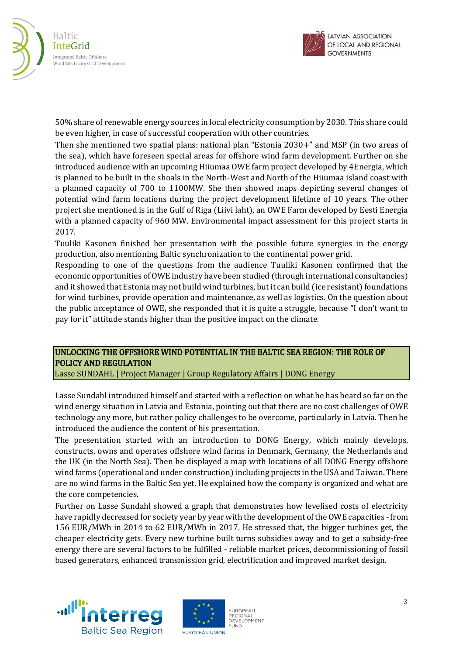



50% share of renewable energy sources in local electricity consumption by 2030. This share could be even higher, in case of successful cooperation with other countries.

Then she mentioned two spatial plans: national plan "Estonia 2030+" and MSP (in two areas of the sea), which have foreseen special areas for offshore wind farm development. Further on she introduced audience with an upcoming Hiiumaa OWE farm project developed by 4Energia, which is planned to be built in the shoals in the North-West and North of the Hiiumaa island coast with a planned capacity of 700 to 1100MW. She then showed maps depicting several changes of potential wind farm locations during the project development lifetime of 10 years. The other project she mentioned is in the Gulf of Riga (Liivi laht), an OWE Farm developed by Eesti Energia with a planned capacity of 960 MW. Environmental impact assessment for this project starts in 2017.

Tuuliki Kasonen finished her presentation with the possible future synergies in the energy production, also mentioning Baltic synchronization to the continental power grid.

Responding to one of the questions from the audience Tuuliki Kasonen confirmed that the economic opportunities ofOWE industry have been studied (through international consultancies) and it showed that Estonia may not build wind turbines, but it can build (ice resistant) foundations for wind turbines, provide operation and maintenance, as well as logistics. On the question about the public acceptance of OWE, she responded that it is quite a struggle, because "I don't want to pay for it" attitude stands higher than the positive impact on the climate.

# UNLOCKING THE OFFSHORE WIND POTENTIAL IN THE BALTIC SEA REGION: THE ROLE OF POLICY AND REGULATION

Lasse SUNDAHL | Project Manager | Group Regulatory Affairs | DONG Energy

Lasse Sundahl introduced himself and started with a reflection on what he has heard so far on the wind energy situation in Latvia and Estonia, pointing out that there are no cost challenges of OWE technology any more, but rather policy challenges to be overcome, particularly in Latvia. Then he introduced the audience the content of his presentation.

The presentation started with an introduction to DONG Energy, which mainly develops, constructs, owns and operates offshore wind farms in Denmark, Germany, the Netherlands and the UK (in the North Sea). Then he displayed a map with locations of all DONG Energy offshore wind farms (operational and under construction) including projects in the USA and Taiwan. There are no wind farms in the Baltic Sea yet. He explained how the company is organized and what are the core competencies.

Further on Lasse Sundahl showed a graph that demonstrates how levelised costs of electricity have rapidly decreased for society year by year with the development of the OWE capacities - from 156 EUR/MWh in 2014 to 62 EUR/MWh in 2017. He stressed that, the bigger turbines get, the cheaper electricity gets. Every new turbine built turns subsidies away and to get a subsidy-free energy there are several factors to be fulfilled - reliable market prices, decommissioning of fossil based generators, enhanced transmission grid, electrification and improved market design.





**EUROPEAN** REGIONAL<br>DEVELOPMENT **FUND**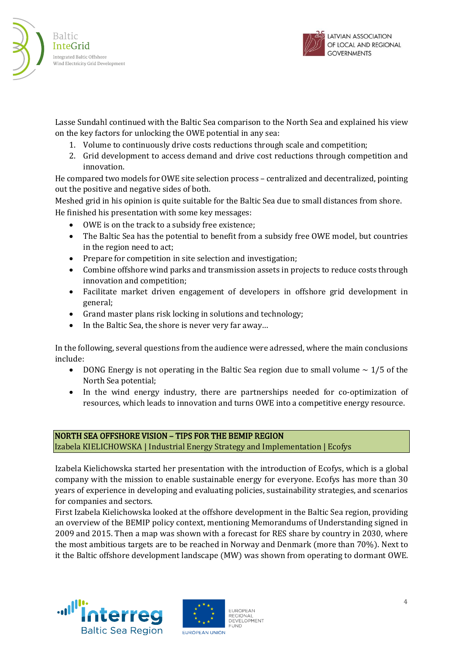



Lasse Sundahl continued with the Baltic Sea comparison to the North Sea and explained his view on the key factors for unlocking the OWE potential in any sea:

- 1. Volume to continuously drive costs reductions through scale and competition;
- 2. Grid development to access demand and drive cost reductions through competition and innovation.

He compared two models for OWE site selection process – centralized and decentralized, pointing out the positive and negative sides of both.

Meshed grid in his opinion is quite suitable for the Baltic Sea due to small distances from shore. He finished his presentation with some key messages:

- OWE is on the track to a subsidy free existence;
- The Baltic Sea has the potential to benefit from a subsidy free OWE model, but countries in the region need to act;
- Prepare for competition in site selection and investigation;
- Combine offshore wind parks and transmission assets in projects to reduce costs through innovation and competition;
- Facilitate market driven engagement of developers in offshore grid development in general;
- Grand master plans risk locking in solutions and technology;
- In the Baltic Sea, the shore is never very far away...

In the following, several questions from the audience were adressed, where the main conclusions include:

- DONG Energy is not operating in the Baltic Sea region due to small volume  $\sim 1/5$  of the North Sea potential;
- In the wind energy industry, there are partnerships needed for co-optimization of resources, which leads to innovation and turns OWE into a competitive energy resource.

#### NORTH SEA OFFSHORE VISION – TIPS FOR THE BEMIP REGION Izabela KIELICHOWSKA | Industrial Energy Strategy and Implementation | Ecofys

Izabela Kielichowska started her presentation with the introduction of Ecofys, which is a global company with the mission to enable sustainable energy for everyone. Ecofys has more than 30 years of experience in developing and evaluating policies, sustainability strategies, and scenarios for companies and sectors.

First Izabela Kielichowska looked at the offshore development in the Baltic Sea region, providing an overview of the BEMIP policy context, mentioning Memorandums of Understanding signed in 2009 and 2015. Then a map was shown with a forecast for RES share by country in 2030, where the most ambitious targets are to be reached in Norway and Denmark (more than 70%). Next to it the Baltic offshore development landscape (MW) was shown from operating to dormant OWE.





**EUROPEAN** REGIONAL<br>DEVELOPMENT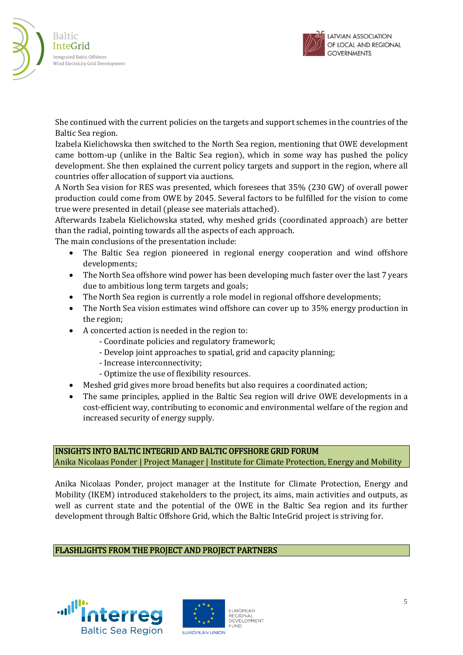



She continued with the current policies on the targets and support schemes in the countries of the Baltic Sea region.

Izabela Kielichowska then switched to the North Sea region, mentioning that OWE development came bottom-up (unlike in the Baltic Sea region), which in some way has pushed the policy development. She then explained the current policy targets and support in the region, where all countries offer allocation of support via auctions.

A North Sea vision for RES was presented, which foresees that 35% (230 GW) of overall power production could come from OWE by 2045. Several factors to be fulfilled for the vision to come true were presented in detail (please see materials attached).

Afterwards Izabela Kielichowska stated, why meshed grids (coordinated approach) are better than the radial, pointing towards all the aspects of each approach.

The main conclusions of the presentation include:

- The Baltic Sea region pioneered in regional energy cooperation and wind offshore developments;
- The North Sea offshore wind power has been developing much faster over the last 7 years due to ambitious long term targets and goals;
- The North Sea region is currently a role model in regional offshore developments;
- The North Sea vision estimates wind offshore can cover up to 35% energy production in the region;
- A concerted action is needed in the region to:
	- Coordinate policies and regulatory framework;
	- Develop joint approaches to spatial, grid and capacity planning;
	- Increase interconnectivity;
	- Optimize the use of flexibility resources.
- Meshed grid gives more broad benefits but also requires a coordinated action;
- The same principles, applied in the Baltic Sea region will drive OWE developments in a cost-efficient way, contributing to economic and environmental welfare of the region and increased security of energy supply.

# INSIGHTS INTO BALTIC INTEGRID AND BALTIC OFFSHORE GRID FORUM

Anika Nicolaas Ponder | Project Manager | Institute for Climate Protection, Energy and Mobility

Anika Nicolaas Ponder, project manager at the Institute for Climate Protection, Energy and Mobility (IKEM) introduced stakeholders to the project, its aims, main activities and outputs, as well as current state and the potential of the OWE in the Baltic Sea region and its further development through Baltic Offshore Grid, which the Baltic InteGrid project is striving for.

# FLASHLIGHTS FROM THE PROJECT AND PROJECT PARTNERS



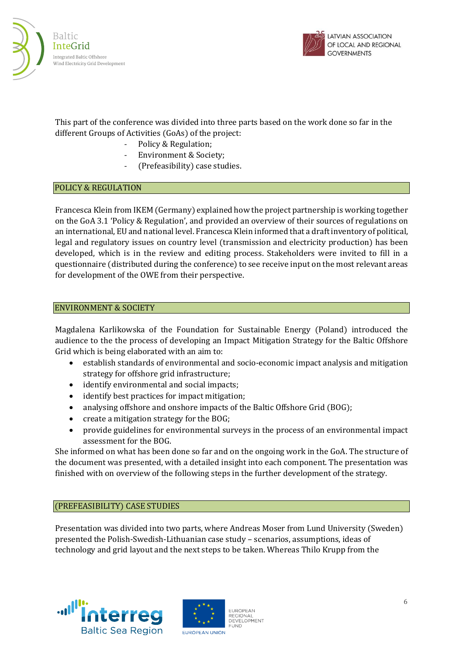



This part of the conference was divided into three parts based on the work done so far in the different Groups of Activities (GoAs) of the project:

- Policy & Regulation;
- Environment & Society;
- (Prefeasibility) case studies.

#### POLICY & REGULATION

Francesca Klein from IKEM (Germany) explained how the project partnership is working together on the GoA 3.1 'Policy & Regulation', and provided an overview of their sources of regulations on an international, EU and national level. Francesca Klein informed that a draft inventory of political, legal and regulatory issues on country level (transmission and electricity production) has been developed, which is in the review and editing process. Stakeholders were invited to fill in a questionnaire (distributed during the conference) to see receive input on the most relevant areas for development of the OWE from their perspective.

#### ENVIRONMENT & SOCIETY

Magdalena Karlikowska of the Foundation for Sustainable Energy (Poland) introduced the audience to the the process of developing an Impact Mitigation Strategy for the Baltic Offshore Grid which is being elaborated with an aim to:

- establish standards of environmental and socio-economic impact analysis and mitigation strategy for offshore grid infrastructure;
- identify environmental and social impacts;
- identify best practices for impact mitigation;
- analysing offshore and onshore impacts of the Baltic Offshore Grid (BOG);
- create a mitigation strategy for the BOG;
- provide guidelines for environmental surveys in the process of an environmental impact assessment for the BOG.

She informed on what has been done so far and on the ongoing work in the GoA. The structure of the document was presented, with a detailed insight into each component. The presentation was finished with on overview of the following steps in the further development of the strategy.

## (PREFEASIBILITY) CASE STUDIES

Presentation was divided into two parts, where Andreas Moser from Lund University (Sweden) presented the Polish-Swedish-Lithuanian case study – scenarios, assumptions, ideas of technology and grid layout and the next steps to be taken. Whereas Thilo Krupp from the